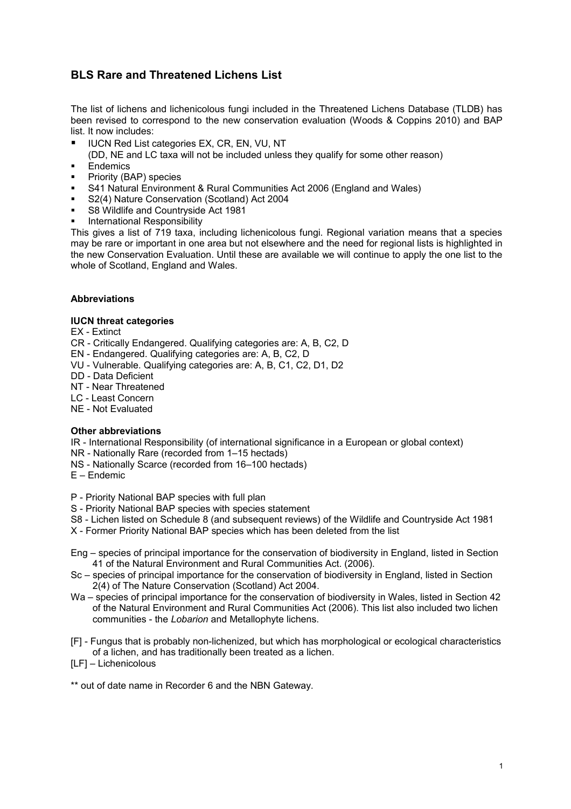## **BLS Rare and Threatened Lichens List**

The list of lichens and lichenicolous fungi included in the Threatened Lichens Database (TLDB) has been revised to correspond to the new conservation evaluation (Woods & Coppins 2010) and BAP list. It now includes:

UCN Red List categories EX, CR, EN, VU, NT

(DD, NE and LC taxa will not be included unless they qualify for some other reason)

- **Endemics**
- **•** Priority (BAP) species
- S41 Natural Environment & Rural Communities Act 2006 (England and Wales)
- S2(4) Nature Conservation (Scotland) Act 2004
- S8 Wildlife and Countryside Act 1981
- International Responsibility

This gives a list of 719 taxa, including lichenicolous fungi. Regional variation means that a species may be rare or important in one area but not elsewhere and the need for regional lists is highlighted in the new Conservation Evaluation. Until these are available we will continue to apply the one list to the whole of Scotland, England and Wales.

## **Abbreviations**

## **IUCN threat categories**

EX - Extinct

- CR Critically Endangered. Qualifying categories are: A, B, C2, D
- EN Endangered. Qualifying categories are: A, B, C2, D
- VU Vulnerable. Qualifying categories are: A, B, C1, C2, D1, D2
- DD Data Deficient
- NT Near Threatened
- LC Least Concern
- NE Not Evaluated

## **Other abbreviations**

IR - International Responsibility (of international significance in a European or global context)

- NR Nationally Rare (recorded from 1–15 hectads)
- NS Nationally Scarce (recorded from 16–100 hectads)
- E Endemic

P - Priority National BAP species with full plan

- S Priority National BAP species with species statement
- S8 Lichen listed on Schedule 8 (and subsequent reviews) of the Wildlife and Countryside Act 1981
- X Former Priority National BAP species which has been deleted from the list
- Eng species of principal importance for the conservation of biodiversity in England, listed in Section 41 of the Natural Environment and Rural Communities Act. (2006).
- Sc species of principal importance for the conservation of biodiversity in England, listed in Section 2(4) of The Nature Conservation (Scotland) Act 2004.
- Wa species of principal importance for the conservation of biodiversity in Wales, listed in Section 42 of the Natural Environment and Rural Communities Act (2006). This list also included two lichen communities - the *Lobarion* and Metallophyte lichens.
- [F] Fungus that is probably non-lichenized, but which has morphological or ecological characteristics of a lichen, and has traditionally been treated as a lichen.
- [LF] Lichenicolous

\*\* out of date name in Recorder 6 and the NBN Gateway.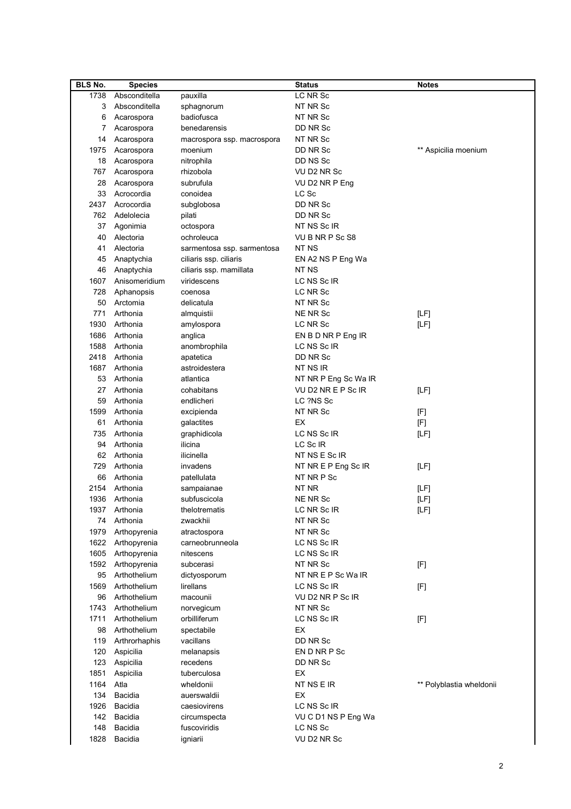| <b>BLS No.</b> | <b>Species</b> |                            | <b>Status</b>            | <b>Notes</b>             |
|----------------|----------------|----------------------------|--------------------------|--------------------------|
| 1738           | Absconditella  | pauxilla                   | LC NR Sc                 |                          |
| 3              | Absconditella  | sphagnorum                 | NT NR Sc                 |                          |
| 6              | Acarospora     | badiofusca                 | NT NR Sc                 |                          |
| 7              | Acarospora     | benedarensis               | DD NR Sc                 |                          |
| 14             | Acarospora     | macrospora ssp. macrospora | NT NR Sc                 |                          |
| 1975           | Acarospora     | moenium                    | DD NR Sc                 | ** Aspicilia moenium     |
| 18             | Acarospora     | nitrophila                 | DD NS Sc                 |                          |
| 767            | Acarospora     | rhizobola                  | VU D2 NR Sc              |                          |
| 28             | Acarospora     | subrufula                  | VU D2 NR P Eng           |                          |
| 33             | Acrocordia     | conoidea                   | LC Sc                    |                          |
| 2437           | Acrocordia     | subglobosa                 | DD NR Sc                 |                          |
| 762            | Adelolecia     | pilati                     | DD NR Sc                 |                          |
| 37             | Agonimia       | octospora                  | NT NS Sc IR              |                          |
| 40             | Alectoria      | ochroleuca                 | VU B NR P Sc S8          |                          |
| 41             | Alectoria      | sarmentosa ssp. sarmentosa | NT NS                    |                          |
| 45             | Anaptychia     | ciliaris ssp. ciliaris     | EN A2 NS P Eng Wa        |                          |
| 46             | Anaptychia     | ciliaris ssp. mamillata    | NT NS                    |                          |
| 1607           | Anisomeridium  | viridescens                | LC NS Sc IR              |                          |
| 728            | Aphanopsis     | coenosa                    | LC NR Sc                 |                          |
| 50             | Arctomia       | delicatula                 | NT NR Sc                 |                          |
| 771            | Arthonia       | almquistii                 | NE NR Sc                 | [LF]                     |
| 1930           | Arthonia       | amylospora                 | LC NR Sc                 | [LF]                     |
| 1686           | Arthonia       | anglica                    | EN B D NR P Eng IR       |                          |
| 1588           | Arthonia       | anombrophila               | LC NS Sc IR              |                          |
| 2418           | Arthonia       | apatetica                  | DD NR Sc                 |                          |
| 1687           | Arthonia       | astroidestera              | NT NS IR                 |                          |
| 53             | Arthonia       | atlantica                  | NT NR P Eng Sc Wa IR     |                          |
| 27             | Arthonia       | cohabitans                 | VU D2 NR E P Sc IR       | [LF]                     |
| 59             | Arthonia       | endlicheri                 | LC ?NS Sc                |                          |
| 1599           | Arthonia       |                            | NT NR Sc                 |                          |
| 61             |                | excipienda                 | EX                       | [F]                      |
|                | Arthonia       | galactites                 |                          | [F]                      |
| 735            | Arthonia       | graphidicola               | LC NS Sc IR              | [LF]                     |
| 94             | Arthonia       | ilicina                    | LC Sc IR                 |                          |
| 62             | Arthonia       | ilicinella<br>invadens     | NT NS E Sc IR            |                          |
| 729            | Arthonia       |                            | NT NR E P Eng Sc IR      | [LF]                     |
| 66             | Arthonia       | patellulata                | NT NR P Sc               |                          |
| 2154           | Arthonia       | sampaianae                 | NT NR<br><b>NE NR Sc</b> | [LF]                     |
| 1936           | Arthonia       | subfuscicola               |                          | [LF]                     |
|                | 1937 Arthonia  | thelotrematis              | LC NR Sc IR              | [LF]                     |
|                | 74 Arthonia    | zwackhii                   | NT NR Sc                 |                          |
| 1979           | Arthopyrenia   | atractospora               | NT NR Sc                 |                          |
| 1622           | Arthopyrenia   | carneobrunneola            | LC NS Sc IR              |                          |
| 1605           | Arthopyrenia   | nitescens                  | LC NS Sc IR              |                          |
| 1592           | Arthopyrenia   | subcerasi                  | NT NR Sc                 | [F]                      |
| 95             | Arthothelium   | dictyosporum               | NT NR E P Sc Wa IR       |                          |
| 1569           | Arthothelium   | lirellans                  | LC NS Sc IR              | [F]                      |
| 96             | Arthothelium   | macounii                   | VU D2 NR P Sc IR         |                          |
| 1743           | Arthothelium   | norvegicum                 | NT NR Sc                 |                          |
| 1711           | Arthothelium   | orbilliferum               | LC NS Sc IR              | $[{\mathsf F}]$          |
| 98             | Arthothelium   | spectabile                 | EX                       |                          |
| 119            | Arthrorhaphis  | vacillans                  | DD NR Sc                 |                          |
| 120            | Aspicilia      | melanapsis                 | EN D NR P Sc             |                          |
| 123            | Aspicilia      | recedens                   | DD NR Sc                 |                          |
| 1851           | Aspicilia      | tuberculosa                | ЕX                       |                          |
| 1164           | Atla           | wheldonii                  | NT NS E IR               | ** Polyblastia wheldonii |
| 134            | Bacidia        | auerswaldii                | ЕX                       |                          |
| 1926           | Bacidia        | caesiovirens               | LC NS Sc IR              |                          |
| 142            | Bacidia        | circumspecta               | VUCD1 NSPEng Wa          |                          |
| 148            | Bacidia        | fuscoviridis               | LC NS Sc                 |                          |
| 1828           | Bacidia        | igniarii                   | VU D2 NR Sc              |                          |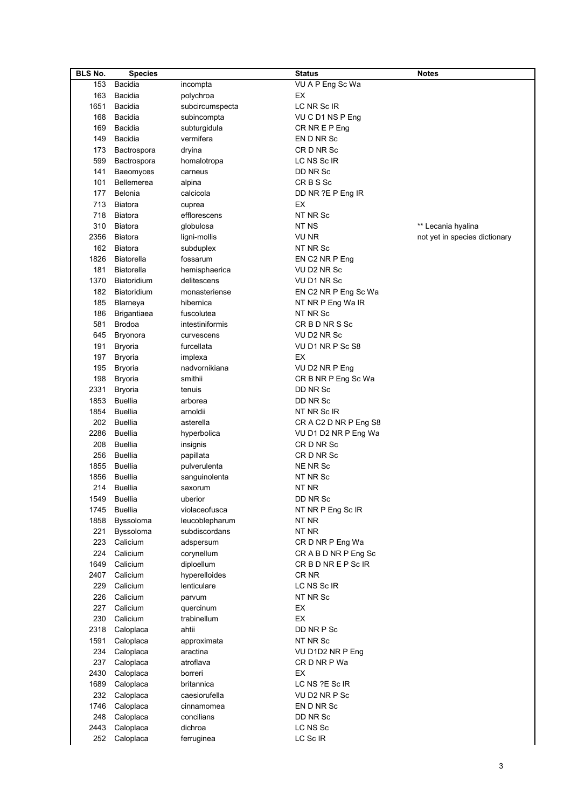| <b>BLS No.</b> | <b>Species</b>     |                 | <b>Status</b>         | <b>Notes</b>                  |
|----------------|--------------------|-----------------|-----------------------|-------------------------------|
| 153            | Bacidia            | incompta        | VU A P Eng Sc Wa      |                               |
| 163            | Bacidia            | polychroa       | EX                    |                               |
| 1651           | Bacidia            | subcircumspecta | LC NR Sc IR           |                               |
| 168            | Bacidia            | subincompta     | VUCD1 NSPEng          |                               |
| 169            | Bacidia            | subturgidula    | CR NR E P Eng         |                               |
| 149            | Bacidia            | vermifera       | EN D NR Sc            |                               |
| 173            | Bactrospora        | dryina          | CR D NR Sc            |                               |
|                |                    |                 |                       |                               |
| 599            | Bactrospora        | homalotropa     | LC NS Sc IR           |                               |
| 141            | Baeomyces          | carneus         | DD NR Sc              |                               |
| 101            | <b>Bellemerea</b>  | alpina          | CRBS <sub>Sc</sub>    |                               |
| 177            | Belonia            | calcicola       | DD NR ?E P Eng IR     |                               |
| 713            | Biatora            | cuprea          | EX                    |                               |
| 718            | Biatora            | efflorescens    | NT NR Sc              |                               |
| 310            | Biatora            | globulosa       | NT NS                 | ** Lecania hyalina            |
| 2356           | Biatora            | ligni-mollis    | VU NR                 | not yet in species dictionary |
| 162            | Biatora            | subduplex       | NT NR Sc              |                               |
| 1826           | Biatorella         | fossarum        | EN C2 NR P Eng        |                               |
| 181            | Biatorella         | hemisphaerica   | VU D2 NR Sc           |                               |
| 1370           | Biatoridium        | delitescens     | VU D1 NR Sc           |                               |
| 182            | Biatoridium        | monasteriense   | EN C2 NR P Eng Sc Wa  |                               |
| 185            | Blarneya           | hibernica       | NT NR P Eng Wa IR     |                               |
| 186            | <b>Brigantiaea</b> | fuscolutea      | NT NR Sc              |                               |
| 581            | <b>Brodoa</b>      | intestiniformis | CR B D NR S Sc        |                               |
| 645            | Bryonora           | curvescens      | VU D2 NR Sc           |                               |
| 191            | <b>Bryoria</b>     | furcellata      | VU D1 NR P Sc S8      |                               |
|                |                    |                 | EX                    |                               |
| 197            | <b>Bryoria</b>     | implexa         |                       |                               |
| 195            | <b>Bryoria</b>     | nadvornikiana   | VU D2 NR P Eng        |                               |
| 198            | <b>Bryoria</b>     | smithii         | CR B NR P Eng Sc Wa   |                               |
| 2331           | <b>Bryoria</b>     | tenuis          | DD NR Sc              |                               |
| 1853           | <b>Buellia</b>     | arborea         | DD NR Sc              |                               |
| 1854           | <b>Buellia</b>     | arnoldii        | NT NR Sc IR           |                               |
| 202            | <b>Buellia</b>     | asterella       | CR A C2 D NR P Eng S8 |                               |
| 2286           | <b>Buellia</b>     | hyperbolica     | VU D1 D2 NR P Eng Wa  |                               |
| 208            | <b>Buellia</b>     | insignis        | CR D NR Sc            |                               |
| 256            | <b>Buellia</b>     | papillata       | CR D NR Sc            |                               |
| 1855           | <b>Buellia</b>     | pulverulenta    | NE NR Sc              |                               |
| 1856           | <b>Buellia</b>     | sanguinolenta   | NT NR Sc              |                               |
| 214            | <b>Buellia</b>     | saxorum         | NT NR                 |                               |
| 1549           | <b>Buellia</b>     | uberior         | DD NR Sc              |                               |
| 1745           | <b>Buellia</b>     | violaceofusca   | NT NR P Eng Sc IR     |                               |
| 1858           | Byssoloma          | leucoblepharum  | NT NR                 |                               |
| 221            | Byssoloma          | subdiscordans   | NT NR                 |                               |
| 223            | Calicium           | adspersum       | CR D NR P Eng Wa      |                               |
| 224            | Calicium           | corynellum      | CRABDNRPEngSc         |                               |
| 1649           | Calicium           | diploellum      | CR B D NR E P Sc IR   |                               |
| 2407           | Calicium           | hyperelloides   | CR <sub>NR</sub>      |                               |
| 229            | Calicium           | lenticulare     | LC NS Sc IR           |                               |
| 226            | Calicium           | parvum          | NT NR Sc              |                               |
| 227            | Calicium           | quercinum       | EX                    |                               |
| 230            | Calicium           | trabinellum     | EX                    |                               |
| 2318           | Caloplaca          | ahtii           | DD NR P Sc            |                               |
| 1591           |                    |                 | NT NR Sc              |                               |
|                | Caloplaca          | approximata     |                       |                               |
| 234            | Caloplaca          | aractina        | VU D1D2 NR P Eng      |                               |
| 237            | Caloplaca          | atroflava       | CR D NR P Wa          |                               |
| 2430           | Caloplaca          | borreri         | EX                    |                               |
| 1689           | Caloplaca          | britannica      | LC NS ?E Sc IR        |                               |
| 232            | Caloplaca          | caesiorufella   | VU D2 NR P Sc         |                               |
| 1746           | Caloplaca          | cinnamomea      | EN D NR Sc            |                               |
| 248            | Caloplaca          | concilians      | DD NR Sc              |                               |
| 2443           | Caloplaca          | dichroa         | LC NS Sc              |                               |
| 252            | Caloplaca          | ferruginea      | LC Sc IR              |                               |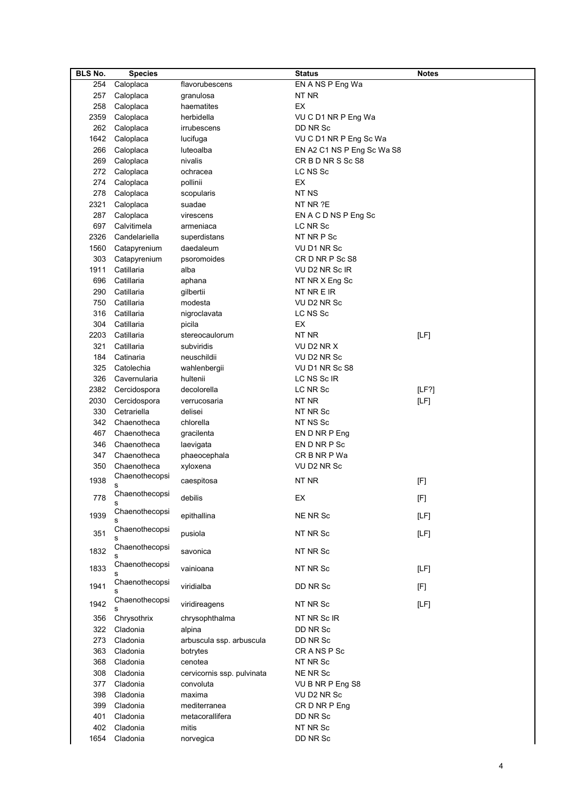| <b>BLS No.</b> | <b>Species</b>      |                            | <b>Status</b>              | <b>Notes</b> |
|----------------|---------------------|----------------------------|----------------------------|--------------|
| 254            | Caloplaca           | flavorubescens             | EN A NS P Eng Wa           |              |
| 257            | Caloplaca           | granulosa                  | NT NR                      |              |
| 258            | Caloplaca           | haematites                 | EX                         |              |
| 2359           | Caloplaca           | herbidella                 | VUCD1 NR P Eng Wa          |              |
| 262            | Caloplaca           | irrubescens                | DD NR Sc                   |              |
| 1642           | Caloplaca           | lucifuga                   | VU C D1 NR P Eng Sc Wa     |              |
| 266            | Caloplaca           | luteoalba                  | EN A2 C1 NS P Eng Sc Wa S8 |              |
| 269            | Caloplaca           | nivalis                    | CRBDNRSScS8                |              |
| 272            | Caloplaca           | ochracea                   | LC NS Sc                   |              |
| 274            | Caloplaca           | pollinii                   | EX                         |              |
| 278            | Caloplaca           | scopularis                 | NT <sub>NS</sub>           |              |
| 2321           | Caloplaca           | suadae                     | NT NR ?E                   |              |
| 287            | Caloplaca           | virescens                  | EN A C D NS P Eng Sc       |              |
| 697            | Calvitimela         | armeniaca                  | LC NR Sc                   |              |
| 2326           | Candelariella       | superdistans               | NT NR P Sc                 |              |
| 1560           | Catapyrenium        | daedaleum                  | VU D1 NR Sc                |              |
| 303            | Catapyrenium        | psoromoides                | CRD NRP ScS8               |              |
| 1911           | Catillaria          | alba                       | VU D2 NR Sc IR             |              |
| 696            | Catillaria          | aphana                     | NT NR X Eng Sc             |              |
| 290            | Catillaria          | qilbertii                  | NT NR E IR                 |              |
| 750            | Catillaria          | modesta                    | VU D2 NR Sc                |              |
| 316            | Catillaria          | nigroclavata               | LC NS Sc                   |              |
| 304            | Catillaria          | picila                     | EX                         |              |
| 2203           | Catillaria          | stereocaulorum             | NT NR                      | [LF]         |
| 321            | Catillaria          | subviridis                 | VU D2 NR X                 |              |
| 184            | Catinaria           | neuschildii                | VU D2 NR Sc                |              |
| 325            | Catolechia          | wahlenbergii               | VU D1 NR Sc S8             |              |
| 326            | Cavernularia        | hultenii                   | LC NS Sc IR                |              |
| 2382           | Cercidospora        | decolorella                | LC NR Sc                   | [LF?]        |
| 2030           | Cercidospora        | verrucosaria               | NT NR                      | [LF]         |
| 330            | Cetrariella         | delisei                    | NT NR Sc                   |              |
| 342            | Chaenotheca         | chlorella                  | NT NS Sc                   |              |
| 467            | Chaenotheca         | gracilenta                 | EN D NR P Eng              |              |
| 346            | Chaenotheca         | laevigata                  | EN D NR P Sc               |              |
| 347            | Chaenotheca         | phaeocephala               | CR B NR P Wa               |              |
| 350            | Chaenotheca         | xyloxena                   | VU D2 NR Sc                |              |
| 1938           | Chaenothecopsi      | caespitosa                 | NT NR                      |              |
|                | s                   |                            |                            | [F]          |
| 778            | Chaenothecopsi      | debilis                    | ЕX                         | $[{\sf F}]$  |
|                | s<br>Chaenothecopsi |                            |                            |              |
| 1939           |                     | epithallina                | NE NR Sc                   | [LF]         |
| 351            | Chaenothecopsi      | pusiola                    | NT NR Sc                   | [LF]         |
|                | S                   |                            |                            |              |
| 1832           | Chaenothecopsi      | savonica                   | NT NR Sc                   |              |
|                | Chaenothecopsi      |                            |                            |              |
| 1833           | s                   | vainioana                  | NT NR Sc                   | [LF]         |
| 1941           | Chaenothecopsi      | viridialba                 | DD NR Sc                   | [F]          |
|                | Chaenothecopsi      |                            |                            |              |
| 1942           |                     | viridireagens              | NT NR Sc                   | [LF]         |
| 356            | Chrysothrix         | chrysophthalma             | NT NR Sc IR                |              |
| 322            | Cladonia            | alpina                     | DD NR Sc                   |              |
| 273            | Cladonia            | arbuscula ssp. arbuscula   | DD NR Sc                   |              |
| 363            | Cladonia            | botrytes                   | CRANSPSc                   |              |
| 368            | Cladonia            | cenotea                    | NT NR Sc                   |              |
| 308            | Cladonia            | cervicornis ssp. pulvinata | NE NR Sc                   |              |
| 377            | Cladonia            | convoluta                  | VU B NR P Eng S8           |              |
| 398            | Cladonia            | maxima                     | VU D2 NR Sc                |              |
| 399            | Cladonia            | mediterranea               | CR D NR P Eng              |              |
| 401            | Cladonia            | metacorallifera            | DD NR Sc                   |              |
| 402            | Cladonia            | mitis                      | NT NR Sc                   |              |
| 1654           | Cladonia            | norvegica                  | DD NR Sc                   |              |
|                |                     |                            |                            |              |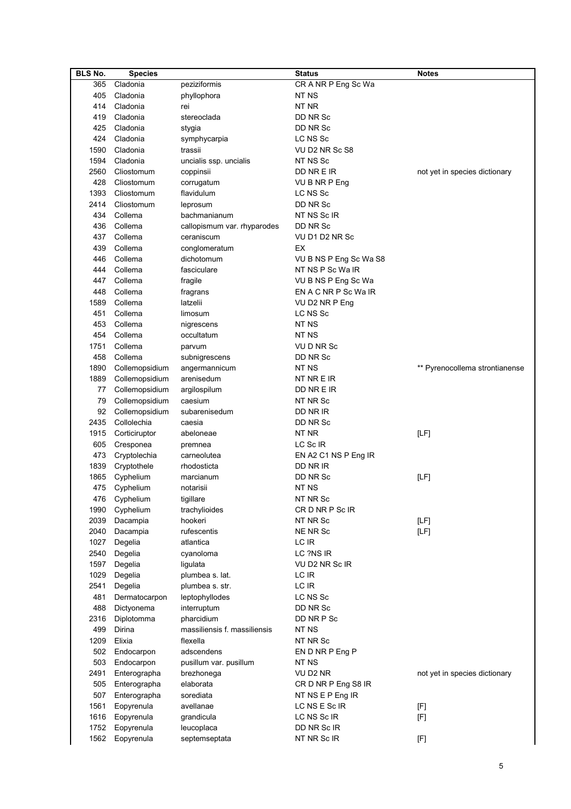| <b>BLS No.</b> | <b>Species</b> |                              | <b>Status</b>          | <b>Notes</b>                   |
|----------------|----------------|------------------------------|------------------------|--------------------------------|
| 365            | Cladonia       | peziziformis                 | CR A NR P Eng Sc Wa    |                                |
| 405            | Cladonia       | phyllophora                  | NT <sub>NS</sub>       |                                |
| 414            | Cladonia       | rei                          | NT NR                  |                                |
| 419            | Cladonia       | stereoclada                  | DD NR Sc               |                                |
| 425            | Cladonia       | stygia                       | DD NR Sc               |                                |
| 424            | Cladonia       | symphycarpia                 | LC NS Sc               |                                |
| 1590           | Cladonia       | trassii                      | VU D2 NR Sc S8         |                                |
| 1594           | Cladonia       | uncialis ssp. uncialis       | NT NS Sc               |                                |
| 2560           | Cliostomum     | coppinsii                    | DD NR E IR             | not yet in species dictionary  |
| 428            | Cliostomum     | corrugatum                   | VU B NR P Eng          |                                |
| 1393           | Cliostomum     | flavidulum                   | LC NS Sc               |                                |
| 2414           | Cliostomum     | leprosum                     | DD NR Sc               |                                |
| 434            | Collema        | bachmanianum                 | NT NS Sc IR            |                                |
| 436            | Collema        | callopismum var. rhyparodes  | DD NR Sc               |                                |
| 437            | Collema        | ceraniscum                   | VU D1 D2 NR Sc         |                                |
| 439            | Collema        |                              | EX                     |                                |
|                |                | conglomeratum                |                        |                                |
| 446            | Collema        | dichotomum                   | VU B NS P Eng Sc Wa S8 |                                |
| 444            | Collema        | fasciculare                  | NT NS P Sc Wa IR       |                                |
| 447            | Collema        | fragile                      | VU B NS P Eng Sc Wa    |                                |
| 448            | Collema        | fragrans                     | EN A C NR P Sc Wa IR   |                                |
| 1589           | Collema        | latzelii                     | VU D2 NR P Eng         |                                |
| 451            | Collema        | limosum                      | LC NS Sc               |                                |
| 453            | Collema        | nigrescens                   | NT NS                  |                                |
| 454            | Collema        | occultatum                   | NT NS                  |                                |
| 1751           | Collema        | parvum                       | VU D NR Sc             |                                |
| 458            | Collema        | subnigrescens                | DD NR Sc               |                                |
| 1890           | Collemopsidium | angermannicum                | NT NS                  | ** Pyrenocollema strontianense |
| 1889           | Collemopsidium | arenisedum                   | NT NR E IR             |                                |
| 77             | Collemopsidium | argilospilum                 | DD NR E IR             |                                |
| 79             | Collemopsidium | caesium                      | NT NR Sc               |                                |
| 92             | Collemopsidium | subarenisedum                | DD NR IR               |                                |
| 2435           | Collolechia    | caesia                       | DD NR Sc               |                                |
| 1915           | Corticiruptor  | abeloneae                    | NT NR                  | [LF]                           |
| 605            | Cresponea      | premnea                      | LC Sc IR               |                                |
| 473            | Cryptolechia   | carneolutea                  | EN A2 C1 NS P Eng IR   |                                |
| 1839           | Cryptothele    | rhodosticta                  | DD NR IR               |                                |
| 1865           | Cyphelium      | marcianum                    | DD NR Sc               | [LF]                           |
|                | 475 Cyphelium  | notarisii                    | NT NS                  |                                |
|                | 476 Cyphelium  | tigillare                    | NT NR Sc               |                                |
|                | 1990 Cyphelium | trachylioides                | CR D NR P Sc IR        |                                |
| 2039           | Dacampia       | hookeri                      | NT NR Sc               | [LF]                           |
| 2040           | Dacampia       | rufescentis                  | NE NR Sc               | [LF]                           |
| 1027           | Degelia        | atlantica                    | LC IR                  |                                |
| 2540           | Degelia        | cyanoloma                    | LC ?NS IR              |                                |
| 1597           | Degelia        | ligulata                     | VU D2 NR Sc IR         |                                |
| 1029           | Degelia        | plumbea s. lat.              | LC IR                  |                                |
| 2541           | Degelia        | plumbea s. str.              | LC IR                  |                                |
| 481            | Dermatocarpon  | leptophyllodes               | LC NS Sc               |                                |
| 488            | Dictyonema     | interruptum                  | DD NR Sc               |                                |
| 2316           | Diplotomma     | pharcidium                   | DD NR P Sc             |                                |
| 499            | Dirina         | massiliensis f. massiliensis | NT NS                  |                                |
| 1209           | Elixia         | flexella                     | NT NR Sc               |                                |
| 502            | Endocarpon     | adscendens                   | EN D NR P Eng P        |                                |
| 503            | Endocarpon     | pusillum var. pusillum       | NT NS                  |                                |
| 2491           | Enterographa   | brezhonega                   | VU D2 NR               | not yet in species dictionary  |
| 505            | Enterographa   | elaborata                    | CR D NR P Eng S8 IR    |                                |
| 507            | Enterographa   | sorediata                    | NT NS E P Eng IR       |                                |
| 1561           | Eopyrenula     | avellanae                    | LC NS E Sc IR          | [F]                            |
| 1616           | Eopyrenula     | grandicula                   | LC NS Sc IR            | [F]                            |
| 1752           | Eopyrenula     | leucoplaca                   | DD NR Sc IR            |                                |
| 1562           | Eopyrenula     | septemseptata                | NT NR Sc IR            | [F]                            |
|                |                |                              |                        |                                |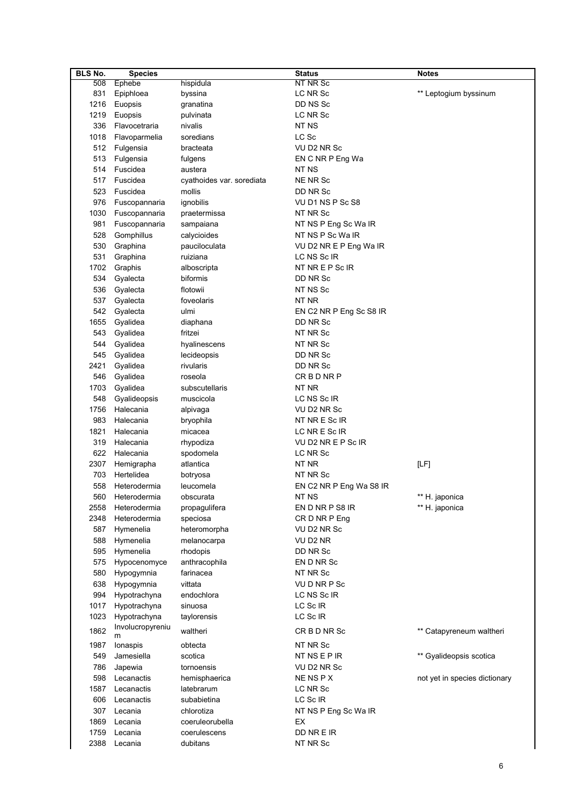| <b>BLS No.</b> | <b>Species</b>        |                           | <b>Status</b>           | <b>Notes</b>                  |
|----------------|-----------------------|---------------------------|-------------------------|-------------------------------|
| 508            | Ephebe                | hispidula                 | <b>NT NR Sc</b>         |                               |
| 831            | Epiphloea             | byssina                   | LC NR Sc                | ** Leptogium byssinum         |
| 1216           | Euopsis               | granatina                 | DD NS Sc                |                               |
| 1219           | Euopsis               | pulvinata                 | LC NR Sc                |                               |
| 336            | Flavocetraria         | nivalis                   | NT NS                   |                               |
| 1018           | Flavoparmelia         | soredians                 | LC Sc                   |                               |
| 512            | Fulgensia             | bracteata                 | VU D2 NR Sc             |                               |
| 513            | Fulgensia             | fulgens                   | EN C NR P Eng Wa        |                               |
| 514            | Fuscidea              | austera                   | NT NS                   |                               |
| 517            | Fuscidea              | cyathoides var. sorediata | NE NR Sc                |                               |
| 523            | Fuscidea              | mollis                    | DD NR Sc                |                               |
| 976            | Fuscopannaria         | ignobilis                 | VU D1 NS P Sc S8        |                               |
| 1030           | Fuscopannaria         | praetermissa              | NT NR Sc                |                               |
| 981            | Fuscopannaria         | sampaiana                 | NT NS P Eng Sc Wa IR    |                               |
| 528            | Gomphillus            | calycioides               | NT NS P Sc Wa IR        |                               |
| 530            | Graphina              | pauciloculata             | VU D2 NR E P Eng Wa IR  |                               |
| 531            | Graphina              | ruiziana                  | LC NS Sc IR             |                               |
| 1702           | Graphis               | alboscripta               | NT NR E P Sc IR         |                               |
| 534            | Gyalecta              | biformis                  | DD NR Sc                |                               |
| 536            | Gyalecta              | flotowii                  | NT NS Sc                |                               |
| 537            | Gyalecta              | foveolaris                | NT NR                   |                               |
| 542            | Gyalecta              | ulmi                      | EN C2 NR P Eng Sc S8 IR |                               |
| 1655           | Gyalidea              | diaphana                  | DD NR Sc                |                               |
| 543            | Gyalidea              | fritzei                   | NT NR Sc                |                               |
| 544            | Gyalidea              | hyalinescens              | NT NR Sc                |                               |
| 545            | Gyalidea              | lecideopsis               | DD NR Sc                |                               |
| 2421           | Gyalidea              | rivularis                 | DD NR Sc                |                               |
| 546            | Gyalidea              | roseola                   | CRBDNRP                 |                               |
| 1703           | Gyalidea              | subscutellaris            | NT NR                   |                               |
| 548            | Gyalideopsis          | muscicola                 | LC NS Sc IR             |                               |
| 1756           | Halecania             | alpivaga                  | VU D2 NR Sc             |                               |
| 983            | Halecania             | bryophila                 | NT NR E Sc IR           |                               |
| 1821           | Halecania             | micacea                   | LC NR E Sc IR           |                               |
| 319            | Halecania             | rhypodiza                 | VU D2 NR E P Sc IR      |                               |
| 622            | Halecania             | spodomela                 | LC NR Sc                |                               |
| 2307           | Hemigrapha            | atlantica                 | NT NR                   | [LF]                          |
| 703            | Hertelidea            | botryosa                  | NT NR Sc                |                               |
| 558            | Heterodermia          | leucomela                 | EN C2 NR P Eng Wa S8 IR |                               |
| 560            | Heterodermia          | obscurata                 | NT NS                   | ** H. japonica                |
| 2558           | Heterodermia          | propagulifera             | EN D NR P S8 IR         | ** H. japonica                |
| 2348           | Heterodermia          | speciosa                  | CR D NR P Eng           |                               |
| 587            | Hymenelia             | heteromorpha              | VU D2 NR Sc             |                               |
| 588            | Hymenelia             | melanocarpa               | VU D2 NR                |                               |
| 595            | Hymenelia             | rhodopis                  | DD NR Sc                |                               |
| 575            | Hypocenomyce          | anthracophila             | EN D NR Sc              |                               |
| 580            | Hypogymnia            | farinacea                 | NT NR Sc                |                               |
| 638            | Hypogymnia            | vittata                   | VUDNRPSc                |                               |
| 994            | Hypotrachyna          | endochlora                | LC NS Sc IR             |                               |
| 1017           | Hypotrachyna          | sinuosa                   | LC Sc IR                |                               |
| 1023           | Hypotrachyna          | taylorensis               | LC Sc IR                |                               |
| 1862           | Involucropyreniu<br>m | waltheri                  | CR B D NR Sc            | ** Catapyreneum waltheri      |
| 1987           | lonaspis              | obtecta                   | NT NR Sc                |                               |
| 549            | Jamesiella            | scotica                   | <b>NT NS E P IR</b>     | ** Gyalideopsis scotica       |
| 786            | Japewia               | tornoensis                | VU D2 NR Sc             |                               |
| 598            | Lecanactis            | hemisphaerica             | NE NS P X               | not yet in species dictionary |
| 1587           | Lecanactis            | latebrarum                | LC NR Sc                |                               |
| 606            | Lecanactis            | subabietina               | LC Sc IR                |                               |
| 307            | Lecania               | chlorotiza                | NT NS P Eng Sc Wa IR    |                               |
| 1869           | Lecania               | coeruleorubella           | EX                      |                               |
| 1759           | Lecania               | coerulescens              | DD NR E IR              |                               |
| 2388           | Lecania               | dubitans                  | NT NR Sc                |                               |
|                |                       |                           |                         |                               |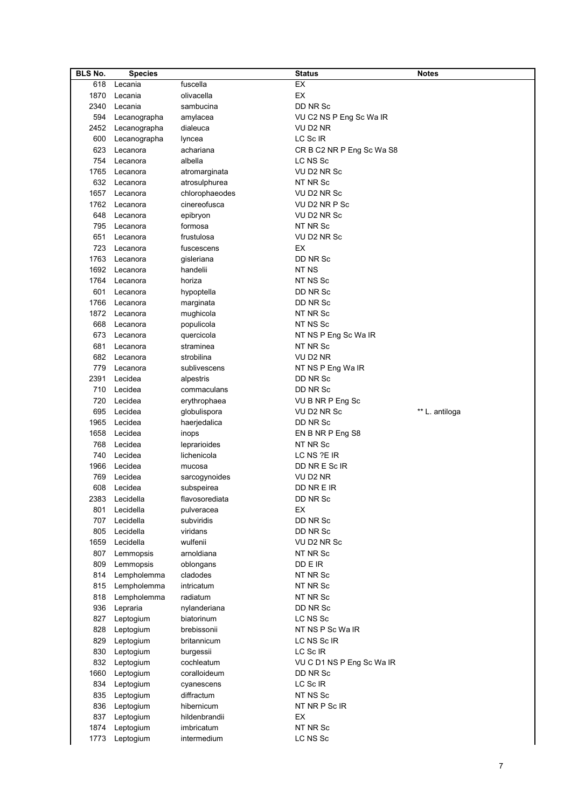| <b>BLS No.</b> | <b>Species</b>    |                | <b>Status</b>             | <b>Notes</b>   |
|----------------|-------------------|----------------|---------------------------|----------------|
| 618            | Lecania           | fuscella       | EX                        |                |
| 1870           | Lecania           | olivacella     | <b>EX</b>                 |                |
| 2340           | Lecania           | sambucina      | DD NR Sc                  |                |
| 594            | Lecanographa      | amylacea       | VU C2 NS P Eng Sc Wa IR   |                |
|                | 2452 Lecanographa | dialeuca       | VU D2 NR                  |                |
| 600            | Lecanographa      | lyncea         | LC Sc IR                  |                |
| 623            |                   |                |                           |                |
|                | Lecanora          | achariana      | CR B C2 NR P Eng Sc Wa S8 |                |
| 754            | Lecanora          | albella        | LC NS Sc                  |                |
| 1765           | Lecanora          | atromarginata  | VU D2 NR Sc               |                |
| 632            | Lecanora          | atrosulphurea  | NT NR Sc                  |                |
| 1657           | Lecanora          | chlorophaeodes | VU D2 NR Sc               |                |
| 1762           | Lecanora          | cinereofusca   | VU D2 NR P Sc             |                |
| 648            | Lecanora          | epibryon       | VU D2 NR Sc               |                |
| 795            | Lecanora          | formosa        | NT NR Sc                  |                |
| 651            | Lecanora          | frustulosa     | VU D2 NR Sc               |                |
| 723            | Lecanora          | fuscescens     | EX                        |                |
| 1763           | Lecanora          | gisleriana     | DD NR Sc                  |                |
|                | 1692 Lecanora     | handelii       | NT NS                     |                |
| 1764           | Lecanora          | horiza         | NT NS Sc                  |                |
| 601            | Lecanora          | hypoptella     | DD NR Sc                  |                |
| 1766           | Lecanora          | marginata      | DD NR Sc                  |                |
|                | 1872 Lecanora     |                | NT NR Sc                  |                |
|                |                   | mughicola      |                           |                |
| 668            | Lecanora          | populicola     | NT NS Sc                  |                |
| 673            | Lecanora          | quercicola     | NT NS P Eng Sc Wa IR      |                |
| 681            | Lecanora          | straminea      | NT NR Sc                  |                |
| 682            | Lecanora          | strobilina     | VU D2 NR                  |                |
| 779            | Lecanora          | sublivescens   | NT NS P Eng Wa IR         |                |
| 2391           | Lecidea           | alpestris      | DD NR Sc                  |                |
| 710            | Lecidea           | commaculans    | DD NR Sc                  |                |
| 720            | Lecidea           | erythrophaea   | VU B NR P Eng Sc          |                |
| 695            | Lecidea           | globulispora   | VU D2 NR Sc               | ** L. antiloga |
| 1965           | Lecidea           | haerjedalica   | DD NR Sc                  |                |
| 1658           | Lecidea           | inops          | EN B NR P Eng S8          |                |
| 768            | Lecidea           | leprarioides   | NT NR Sc                  |                |
| 740            | Lecidea           | lichenicola    | LC NS ?E IR               |                |
| 1966           | Lecidea           | mucosa         | DD NR E Sc IR             |                |
| 769            | Lecidea           | sarcogynoides  | VU D2 NR                  |                |
| 608            | Lecidea           |                | DD NR E IR                |                |
|                | 2383 Lecidella    | subspeirea     |                           |                |
|                |                   | flavosorediata | DD NR Sc                  |                |
| 801            | Lecidella         | pulveracea     | EX                        |                |
| 707            | Lecidella         | subviridis     | DD NR Sc                  |                |
| 805            | Lecidella         | viridans       | DD NR Sc                  |                |
| 1659           | Lecidella         | wulfenii       | VU D2 NR Sc               |                |
| 807            | Lemmopsis         | arnoldiana     | NT NR Sc                  |                |
| 809            | Lemmopsis         | oblongans      | DD E IR                   |                |
| 814            | Lempholemma       | cladodes       | NT NR Sc                  |                |
| 815            | Lempholemma       | intricatum     | NT NR Sc                  |                |
| 818            | Lempholemma       | radiatum       | NT NR Sc                  |                |
| 936            | Lepraria          | nylanderiana   | DD NR Sc                  |                |
| 827            | Leptogium         | biatorinum     | LC NS Sc                  |                |
| 828            | Leptogium         | brebissonii    | NT NS P Sc Wa IR          |                |
| 829            | Leptogium         | britannicum    | LC NS Sc IR               |                |
| 830            | Leptogium         | burgessii      | LC Sc IR                  |                |
| 832            | Leptogium         | cochleatum     | VU C D1 NS P Eng Sc Wa IR |                |
|                |                   |                |                           |                |
| 1660           | Leptogium         | coralloideum   | DD NR Sc                  |                |
| 834            | Leptogium         | cyanescens     | LC Sc IR                  |                |
| 835            | Leptogium         | diffractum     | NT NS Sc                  |                |
| 836            | Leptogium         | hibernicum     | NT NR P Sc IR             |                |
| 837            | Leptogium         | hildenbrandii  | EX                        |                |
| 1874           | Leptogium         | imbricatum     | NT NR Sc                  |                |
| 1773           | Leptogium         | intermedium    | LC NS Sc                  |                |
|                |                   |                |                           |                |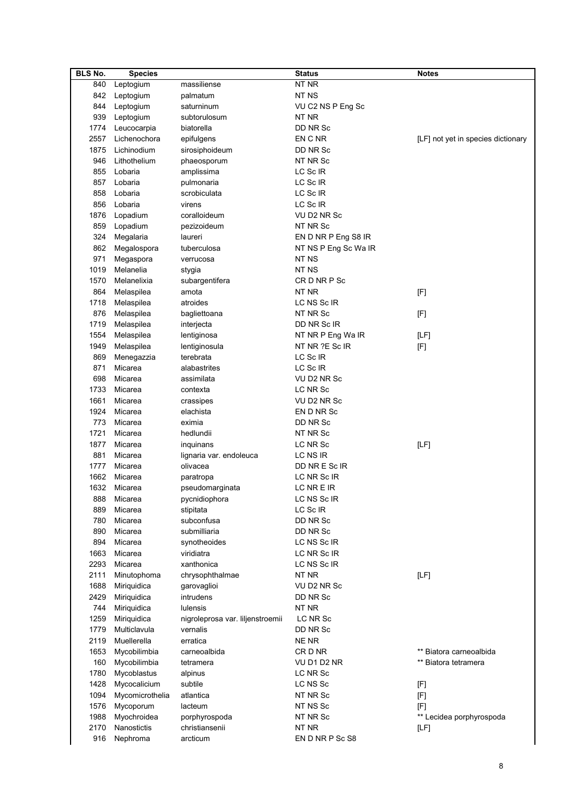| <b>BLS No.</b> | <b>Species</b>  |                                  | <b>Status</b>        | <b>Notes</b>                       |
|----------------|-----------------|----------------------------------|----------------------|------------------------------------|
| 840            | Leptogium       | massiliense                      | NT NR                |                                    |
| 842            | Leptogium       | palmatum                         | NT NS                |                                    |
| 844            | Leptogium       | saturninum                       | VU C2 NS P Eng Sc    |                                    |
| 939            | Leptogium       | subtorulosum                     | NT NR                |                                    |
| 1774           | Leucocarpia     | biatorella                       | DD NR Sc             |                                    |
| 2557           | Lichenochora    | epifulgens                       | EN C NR              | [LF] not yet in species dictionary |
| 1875           | Lichinodium     | sirosiphoideum                   | DD NR Sc             |                                    |
| 946            | Lithothelium    | phaeosporum                      | NT NR Sc             |                                    |
| 855            | Lobaria         | amplissima                       | LC Sc IR             |                                    |
|                |                 |                                  | LC Sc IR             |                                    |
| 857            | Lobaria         | pulmonaria                       |                      |                                    |
| 858            | Lobaria         | scrobiculata                     | LC Sc IR             |                                    |
| 856            | Lobaria         | virens                           | LC Sc IR             |                                    |
| 1876           | Lopadium        | coralloideum                     | VU D2 NR Sc          |                                    |
| 859            | Lopadium        | pezizoideum                      | NT NR Sc             |                                    |
| 324            | Megalaria       | laureri                          | EN D NR P Eng S8 IR  |                                    |
| 862            | Megalospora     | tuberculosa                      | NT NS P Eng Sc Wa IR |                                    |
| 971            | Megaspora       | verrucosa                        | NT NS                |                                    |
| 1019           | Melanelia       | stygia                           | NT NS                |                                    |
| 1570           | Melanelixia     | subargentifera                   | CR D NR P Sc         |                                    |
| 864            | Melaspilea      | amota                            | NT NR                | [F]                                |
| 1718           | Melaspilea      | atroides                         | LC NS Sc IR          |                                    |
| 876            | Melaspilea      | bagliettoana                     | NT NR Sc             | [F]                                |
| 1719           | Melaspilea      | interjecta                       | DD NR Sc IR          |                                    |
| 1554           | Melaspilea      | lentiginosa                      | NT NR P Eng Wa IR    | [LF]                               |
| 1949           | Melaspilea      | lentiginosula                    | NT NR ?E Sc IR       | [F]                                |
| 869            | Menegazzia      | terebrata                        | LC Sc IR             |                                    |
| 871            | Micarea         | alabastrites                     | LC Sc IR             |                                    |
| 698            |                 |                                  |                      |                                    |
|                | Micarea         | assimilata                       | VU D2 NR Sc          |                                    |
| 1733           | Micarea         | contexta                         | LC NR Sc             |                                    |
| 1661           | Micarea         | crassipes                        | VU D2 NR Sc          |                                    |
| 1924           | Micarea         | elachista                        | EN D NR Sc           |                                    |
| 773            | Micarea         | eximia                           | DD NR Sc             |                                    |
| 1721           | Micarea         | hedlundii                        | NT NR Sc             |                                    |
| 1877           | Micarea         | inquinans                        | LC NR Sc             | [LF]                               |
| 881            | Micarea         | lignaria var. endoleuca          | LC NS IR             |                                    |
| 1777           | Micarea         | olivacea                         | DD NR E Sc IR        |                                    |
| 1662           | Micarea         | paratropa                        | LC NR Sc IR          |                                    |
| 1632           | Micarea         | pseudomarginata                  | LC NR E IR           |                                    |
| 888            | Micarea         | pycnidiophora                    | LC NS Sc IR          |                                    |
| 889            | Micarea         | stipitata                        | LC Sc IR             |                                    |
| 780            | Micarea         | subconfusa                       | DD NR Sc             |                                    |
| 890            | Micarea         | submilliaria                     | DD NR Sc             |                                    |
| 894            | Micarea         | synotheoides                     | LC NS Sc IR          |                                    |
| 1663           | Micarea         | viridiatra                       | LC NR Sc IR          |                                    |
| 2293           | Micarea         | xanthonica                       | LC NS Sc IR          |                                    |
| 2111           | Minutophoma     | chrysophthalmae                  | NT NR                | [LF]                               |
| 1688           | Miriquidica     | garovaglioi                      | VU D2 NR Sc          |                                    |
| 2429           | Miriquidica     | intrudens                        | DD NR Sc             |                                    |
| 744            |                 | lulensis                         | NT NR                |                                    |
|                | Miriquidica     |                                  |                      |                                    |
| 1259           | Miriquidica     | nigroleprosa var. liljenstroemii | LC NR Sc             |                                    |
| 1779           | Multiclavula    | vernalis                         | DD NR Sc             |                                    |
| 2119           | Muellerella     | erratica                         | NE NR                |                                    |
| 1653           | Mycobilimbia    | carneoalbida                     | CR D NR              | ** Biatora carneoalbida            |
| 160            | Mycobilimbia    | tetramera                        | VU D1 D2 NR          | ** Biatora tetramera               |
| 1780           | Mycoblastus     | alpinus                          | LC NR Sc             |                                    |
| 1428           | Mycocalicium    | subtile                          | LC NS Sc             | [F]                                |
| 1094           | Mycomicrothelia | atlantica                        | NT NR Sc             | [F]                                |
| 1576           | Mycoporum       | lacteum                          | NT NS Sc             | [F]                                |
| 1988           | Myochroidea     | porphyrospoda                    | NT NR Sc             | ** Lecidea porphyrospoda           |
| 2170           | Nanostictis     | christiansenii                   | NT NR                | [LF]                               |
| 916            | Nephroma        | arcticum                         | EN D NR P Sc S8      |                                    |
|                |                 |                                  |                      |                                    |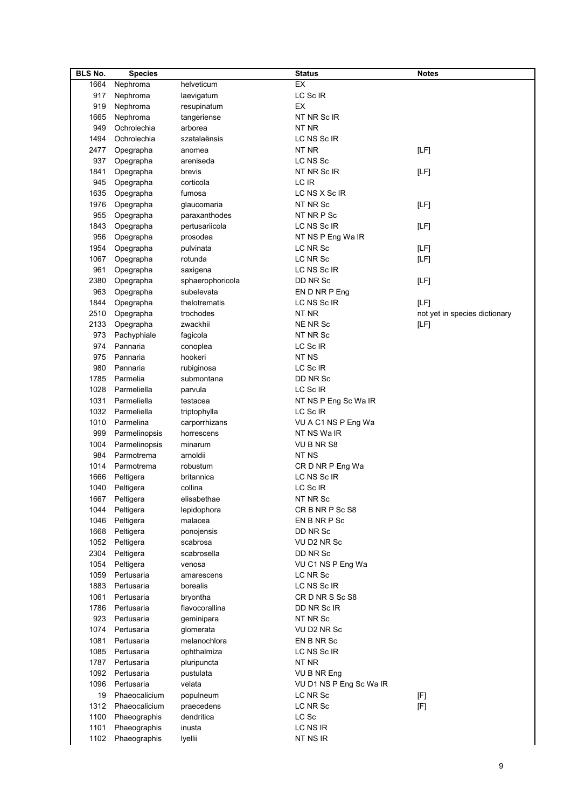| <b>BLS No.</b> | <b>Species</b> |                  | <b>Status</b>           | <b>Notes</b>                  |
|----------------|----------------|------------------|-------------------------|-------------------------------|
| 1664           | Nephroma       | helveticum       | EX                      |                               |
| 917            | Nephroma       | laevigatum       | LC Sc IR                |                               |
| 919            | Nephroma       | resupinatum      | EX                      |                               |
| 1665           | Nephroma       | tangeriense      | NT NR Sc IR             |                               |
| 949            | Ochrolechia    | arborea          | NT NR                   |                               |
| 1494           | Ochrolechia    | szatalaënsis     | LC NS Sc IR             |                               |
| 2477           | Opegrapha      | anomea           | NT NR                   | [LF]                          |
| 937            | Opegrapha      | areniseda        | LC NS Sc                |                               |
| 1841           |                | brevis           | NT NR Sc IR             |                               |
|                | Opegrapha      |                  | LC IR                   | [LF]                          |
| 945            | Opegrapha      | corticola        |                         |                               |
| 1635           | Opegrapha      | fumosa           | LC NS X Sc IR           |                               |
| 1976           | Opegrapha      | glaucomaria      | NT NR Sc                | [LF]                          |
| 955            | Opegrapha      | paraxanthodes    | NT NR P Sc              |                               |
| 1843           | Opegrapha      | pertusariicola   | LC NS Sc IR             | [LF]                          |
| 956            | Opegrapha      | prosodea         | NT NS P Eng Wa IR       |                               |
| 1954           | Opegrapha      | pulvinata        | LC NR Sc                | [LF]                          |
| 1067           | Opegrapha      | rotunda          | LC NR Sc                | [LF]                          |
| 961            | Opegrapha      | saxigena         | LC NS Sc IR             |                               |
| 2380           | Opegrapha      | sphaerophoricola | DD NR Sc                | [LF]                          |
| 963            | Opegrapha      | subelevata       | EN D NR P Eng           |                               |
| 1844           | Opegrapha      | thelotrematis    | LC NS Sc IR             | [LF]                          |
| 2510           | Opegrapha      | trochodes        | NT NR                   | not yet in species dictionary |
| 2133           | Opegrapha      | zwackhii         | <b>NE NR Sc</b>         | [LF]                          |
| 973            | Pachyphiale    | fagicola         | NT NR Sc                |                               |
| 974            | Pannaria       | conoplea         | LC Sc IR                |                               |
| 975            | Pannaria       | hookeri          | NT <sub>NS</sub>        |                               |
| 980            | Pannaria       | rubiginosa       | LC Sc IR                |                               |
| 1785           | Parmelia       | submontana       | DD NR Sc                |                               |
| 1028           | Parmeliella    | parvula          | LC Sc IR                |                               |
| 1031           | Parmeliella    | testacea         | NT NS P Eng Sc Wa IR    |                               |
|                | Parmeliella    |                  |                         |                               |
| 1032           |                | triptophylla     | LC Sc IR                |                               |
| 1010           | Parmelina      | carporrhizans    | VU A C1 NS P Eng Wa     |                               |
| 999            | Parmelinopsis  | horrescens       | NT NS Wa IR             |                               |
| 1004           | Parmelinopsis  | minarum          | VU B NR S8              |                               |
| 984            | Parmotrema     | arnoldii         | NT NS                   |                               |
| 1014           | Parmotrema     | robustum         | CR D NR P Eng Wa        |                               |
| 1666           | Peltigera      | britannica       | LC NS Sc IR             |                               |
| 1040           | Peltigera      | collina          | LC Sc IR                |                               |
| 1667           | Peltigera      | elisabethae      | NT NR Sc                |                               |
| 1044           | Peltigera      | lepidophora      | CR B NR P Sc S8         |                               |
| 1046           | Peltigera      | malacea          | EN B NR P Sc            |                               |
| 1668           | Peltigera      | ponojensis       | DD NR Sc                |                               |
| 1052           | Peltigera      | scabrosa         | VU D2 NR Sc             |                               |
| 2304           | Peltigera      | scabrosella      | DD NR Sc                |                               |
| 1054           | Peltigera      | venosa           | VU C1 NS P Eng Wa       |                               |
| 1059           | Pertusaria     | amarescens       | LC NR Sc                |                               |
| 1883           | Pertusaria     | borealis         | LC NS Sc IR             |                               |
| 1061           | Pertusaria     | bryontha         | CRD NRS ScS8            |                               |
| 1786           | Pertusaria     | flavocorallina   | DD NR Sc IR             |                               |
| 923            | Pertusaria     | geminipara       | NT NR Sc                |                               |
| 1074           | Pertusaria     | glomerata        | VU D2 NR Sc             |                               |
| 1081           | Pertusaria     | melanochlora     | EN B NR Sc              |                               |
| 1085           | Pertusaria     | ophthalmiza      | LC NS Sc IR             |                               |
| 1787           | Pertusaria     | pluripuncta      | NT NR                   |                               |
| 1092           | Pertusaria     | pustulata        | VU B NR Eng             |                               |
| 1096           | Pertusaria     | velata           | VU D1 NS P Eng Sc Wa IR |                               |
| 19             | Phaeocalicium  | populneum        | LC NR Sc                | [F]                           |
| 1312           | Phaeocalicium  | praecedens       | LC NR Sc                | [F]                           |
| 1100           | Phaeographis   | dendritica       | LC Sc                   |                               |
| 1101           |                |                  | LC NS IR                |                               |
|                | Phaeographis   | inusta           |                         |                               |
| 1102           | Phaeographis   | lyellii          | NT NS IR                |                               |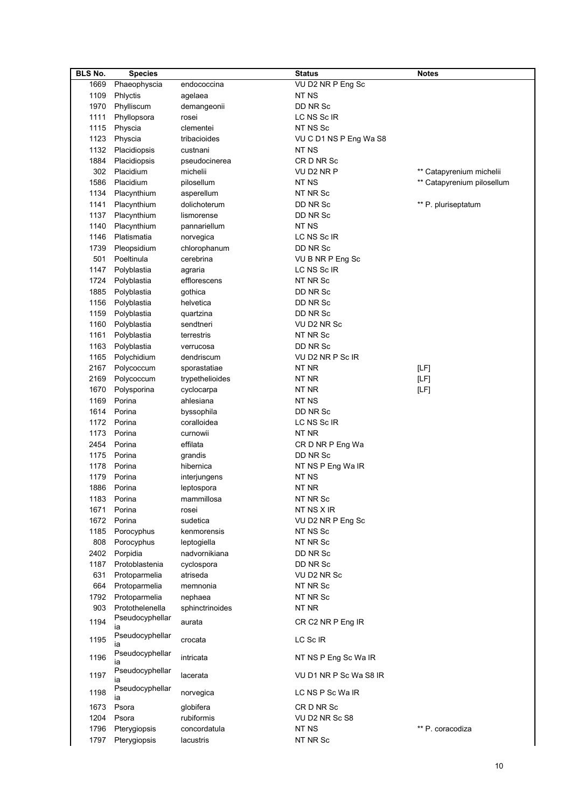| <b>BLS No.</b> | <b>Species</b>        |                      | <b>Status</b>          | <b>Notes</b>               |
|----------------|-----------------------|----------------------|------------------------|----------------------------|
| 1669           | Phaeophyscia          | endococcina          | VU D2 NR P Eng Sc      |                            |
| 1109           | Phlyctis              | agelaea              | NT NS                  |                            |
| 1970           | Phylliscum            | demangeonii          | DD NR Sc               |                            |
| 1111           | Phyllopsora           | rosei                | LC NS Sc IR            |                            |
| 1115           | Physcia               | clementei            | NT NS Sc               |                            |
| 1123           | Physcia               | tribacioides         | VU C D1 NS P Eng Wa S8 |                            |
| 1132           | Placidiopsis          | custnani             | NT NS                  |                            |
| 1884           | Placidiopsis          | pseudocinerea        | CR D NR Sc             |                            |
| 302            | Placidium             | michelii             | VU D2 NR P             | ** Catapyrenium michelii   |
| 1586           | Placidium             | pilosellum           | NT NS                  | ** Catapyrenium pilosellum |
| 1134           | Placynthium           | asperellum           | NT NR Sc               |                            |
| 1141           | Placynthium           | dolichoterum         | DD NR Sc               | ** P. pluriseptatum        |
| 1137           | Placynthium           | lismorense           | DD NR Sc               |                            |
| 1140           | Placynthium           | pannariellum         | NT NS                  |                            |
| 1146           | Platismatia           | norvegica            | LC NS Sc IR            |                            |
| 1739           | Pleopsidium           | chlorophanum         | DD NR Sc               |                            |
| 501            | Poeltinula            | cerebrina            | VU B NR P Eng Sc       |                            |
| 1147           | Polyblastia           | agraria              | LC NS Sc IR            |                            |
| 1724           | Polyblastia           | efflorescens         | NT NR Sc               |                            |
| 1885           |                       |                      | DD NR Sc               |                            |
| 1156           | Polyblastia           | gothica<br>helvetica | DD NR Sc               |                            |
|                | Polyblastia           |                      |                        |                            |
| 1159           | Polyblastia           | quartzina            | DD NR Sc               |                            |
| 1160           | Polyblastia           | sendtneri            | VU D2 NR Sc            |                            |
| 1161           | Polyblastia           | terrestris           | NT NR Sc               |                            |
| 1163           | Polyblastia           | verrucosa            | DD NR Sc               |                            |
| 1165           | Polychidium           | dendriscum           | VU D2 NR P Sc IR       |                            |
| 2167           | Polycoccum            | sporastatiae         | NT NR                  | [LF]                       |
| 2169           | Polycoccum            | trypethelioides      | NT NR                  | [LF]                       |
| 1670           | Polysporina           | cyclocarpa           | NT NR                  | [LF]                       |
| 1169           | Porina                | ahlesiana            | NT NS                  |                            |
| 1614           | Porina                | byssophila           | DD NR Sc               |                            |
| 1172           | Porina                | coralloidea          | LC NS Sc IR            |                            |
| 1173           | Porina                | curnowii             | NT NR                  |                            |
| 2454           | Porina                | effilata             | CR D NR P Eng Wa       |                            |
| 1175           | Porina                | grandis              | DD NR Sc               |                            |
| 1178           | Porina                | hibernica            | NT NS P Eng Wa IR      |                            |
| 1179           | Porina                | interjungens         | NT NS                  |                            |
| 1886           | Porina                | leptospora           | NT NR                  |                            |
|                | 1183 Porina           | mammillosa           | NT NR Sc               |                            |
|                | 1671 Porina           | rosei                | NT NS X IR             |                            |
| 1672           | Porina                | sudetica             | VU D2 NR P Eng Sc      |                            |
| 1185           | Porocyphus            | kenmorensis          | NT NS Sc               |                            |
| 808            | Porocyphus            | leptogiella          | NT NR Sc               |                            |
| 2402           | Porpidia              | nadvornikiana        | DD NR Sc               |                            |
| 1187           | Protoblastenia        | cyclospora           | DD NR Sc               |                            |
| 631            | Protoparmelia         | atriseda             | VU D2 NR Sc            |                            |
| 664            | Protoparmelia         | memnonia             | NT NR Sc               |                            |
| 1792           | Protoparmelia         | nephaea              | NT NR Sc               |                            |
| 903            | Protothelenella       | sphinctrinoides      | NT NR                  |                            |
| 1194           | Pseudocyphellar       | aurata               | CR C2 NR P Eng IR      |                            |
|                | ıa                    |                      |                        |                            |
| 1195           | Pseudocyphellar<br>ia | crocata              | LC Sc IR               |                            |
|                | Pseudocyphellar       |                      |                        |                            |
| 1196           | ıa                    | intricata            | NT NS P Eng Sc Wa IR   |                            |
| 1197           | Pseudocyphellar<br>ıa | lacerata             | VU D1 NR P Sc Wa S8 IR |                            |
| 1198           | Pseudocyphellar<br>ia | norvegica            | LC NS P Sc Wa IR       |                            |
| 1673           | Psora                 | globifera            | CRD NR Sc              |                            |
| 1204           | Psora                 | rubiformis           | VU D2 NR Sc S8         |                            |
| 1796           | Pterygiopsis          | concordatula         | NT NS                  | ** P. coracodiza           |
| 1797           | Pterygiopsis          | lacustris            | NT NR Sc               |                            |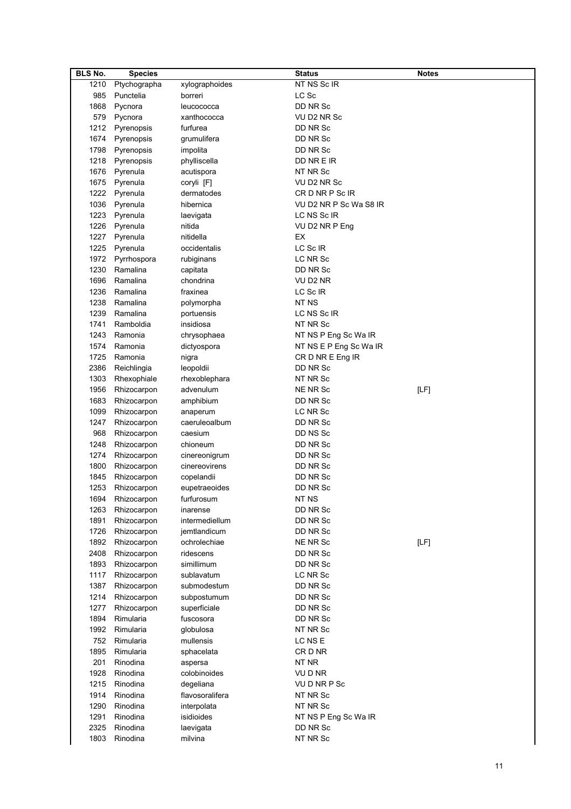| <b>BLS No.</b> | <b>Species</b>   |                 | <b>Status</b>          | <b>Notes</b> |
|----------------|------------------|-----------------|------------------------|--------------|
| 1210           | Ptychographa     | xylographoides  | NT NS Sc IR            |              |
| 985            | Punctelia        | borreri         | LC Sc                  |              |
| 1868           | Pycnora          | leucococca      | DD NR Sc               |              |
| 579            | Pycnora          | xanthococca     | VU D2 NR Sc            |              |
| 1212           | Pyrenopsis       | furfurea        | DD NR Sc               |              |
| 1674           | Pyrenopsis       | grumulifera     | DD NR Sc               |              |
| 1798           |                  |                 | DD NR Sc               |              |
|                | Pyrenopsis       | impolita        |                        |              |
| 1218           | Pyrenopsis       | phylliscella    | DD NR E IR             |              |
| 1676           | Pyrenula         | acutispora      | NT NR Sc               |              |
| 1675           | Pyrenula         | coryli [F]      | VU D2 NR Sc            |              |
| 1222           | Pyrenula         | dermatodes      | CR D NR P Sc IR        |              |
| 1036           | Pyrenula         | hibernica       | VU D2 NR P Sc Wa S8 IR |              |
| 1223           | Pyrenula         | laevigata       | LC NS Sc IR            |              |
| 1226           | Pyrenula         | nitida          | VU D2 NR P Eng         |              |
| 1227           | Pyrenula         | nitidella       | EX                     |              |
| 1225           | Pyrenula         | occidentalis    | LC Sc IR               |              |
|                | 1972 Pyrrhospora | rubiginans      | LC NR Sc               |              |
| 1230           | Ramalina         | capitata        | DD NR Sc               |              |
| 1696           | Ramalina         | chondrina       | VU D2 NR               |              |
| 1236           | Ramalina         | fraxinea        | LC Sc IR               |              |
| 1238           | Ramalina         | polymorpha      | NT NS                  |              |
| 1239           | Ramalina         | portuensis      | LC NS Sc IR            |              |
| 1741           | Ramboldia        | insidiosa       | NT NR Sc               |              |
| 1243           | Ramonia          | chrysophaea     | NT NS P Eng Sc Wa IR   |              |
| 1574           | Ramonia          | dictyospora     |                        |              |
|                |                  |                 | NT NS E P Eng Sc Wa IR |              |
| 1725           | Ramonia          | nigra           | CR D NR E Eng IR       |              |
| 2386           | Reichlingia      | leopoldii       | DD NR Sc               |              |
| 1303           | Rhexophiale      | rhexoblephara   | NT NR Sc               |              |
| 1956           | Rhizocarpon      | advenulum       | NE NR Sc               | [LF]         |
| 1683           | Rhizocarpon      | amphibium       | DD NR Sc               |              |
| 1099           | Rhizocarpon      | anaperum        | LC NR Sc               |              |
| 1247           | Rhizocarpon      | caeruleoalbum   | DD NR Sc               |              |
| 968            | Rhizocarpon      | caesium         | DD NS Sc               |              |
| 1248           | Rhizocarpon      | chioneum        | DD NR Sc               |              |
| 1274           | Rhizocarpon      | cinereonigrum   | DD NR Sc               |              |
| 1800           | Rhizocarpon      | cinereovirens   | DD NR Sc               |              |
| 1845           | Rhizocarpon      | copelandii      | DD NR Sc               |              |
| 1253           | Rhizocarpon      | eupetraeoides   | DD NR Sc               |              |
| 1694           | Rhizocarpon      | furfurosum      | NT NS                  |              |
| 1263           | Rhizocarpon      | inarense        | DD NR Sc               |              |
| 1891           | Rhizocarpon      | intermediellum  | DD NR Sc               |              |
| 1726           | Rhizocarpon      | jemtlandicum    | DD NR Sc               |              |
| 1892           | Rhizocarpon      | ochrolechiae    | NE NR Sc               | [LF]         |
| 2408           | Rhizocarpon      | ridescens       | DD NR Sc               |              |
| 1893           | Rhizocarpon      | simillimum      | DD NR Sc               |              |
| 1117           | Rhizocarpon      | sublavatum      | LC NR Sc               |              |
| 1387           |                  |                 | DD NR Sc               |              |
|                | Rhizocarpon      | submodestum     |                        |              |
| 1214           | Rhizocarpon      | subpostumum     | DD NR Sc               |              |
| 1277           | Rhizocarpon      | superficiale    | DD NR Sc               |              |
| 1894           | Rimularia        | fuscosora       | DD NR Sc               |              |
| 1992           | Rimularia        | globulosa       | NT NR Sc               |              |
| 752            | Rimularia        | mullensis       | LC NS E                |              |
| 1895           | Rimularia        | sphacelata      | CRD NR                 |              |
| 201            | Rinodina         | aspersa         | NT NR                  |              |
| 1928           | Rinodina         | colobinoides    | VU D NR                |              |
| 1215           | Rinodina         | degeliana       | VUDNRPSc               |              |
| 1914           | Rinodina         | flavosoralifera | NT NR Sc               |              |
| 1290           | Rinodina         | interpolata     | NT NR Sc               |              |
| 1291           | Rinodina         | isidioides      | NT NS P Eng Sc Wa IR   |              |
| 2325           | Rinodina         | laevigata       | DD NR Sc               |              |
| 1803           | Rinodina         | milvina         | NT NR Sc               |              |
|                |                  |                 |                        |              |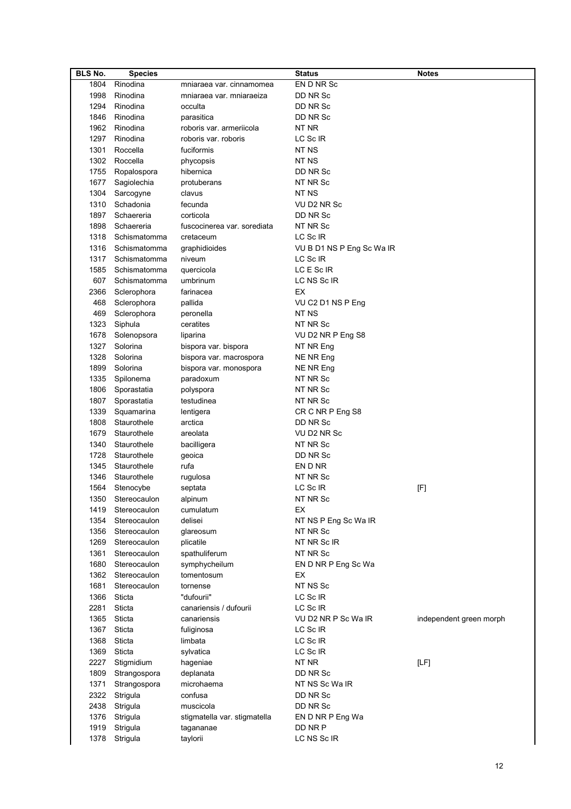| <b>BLS No.</b> | <b>Species</b>    |                              | <b>Status</b>             | <b>Notes</b>            |
|----------------|-------------------|------------------------------|---------------------------|-------------------------|
| 1804           | Rinodina          | mniaraea var. cinnamomea     | EN D NR Sc                |                         |
| 1998           | Rinodina          | mniaraea var. mniaraeiza     | DD NR Sc                  |                         |
| 1294           | Rinodina          | occulta                      | DD NR Sc                  |                         |
| 1846           | Rinodina          | parasitica                   | DD NR Sc                  |                         |
| 1962           | Rinodina          | roboris var. armeriicola     | NT NR                     |                         |
| 1297           | Rinodina          | roboris var. roboris         | LC Sc IR                  |                         |
| 1301           | Roccella          | fuciformis                   | NT NS                     |                         |
| 1302           | Roccella          | phycopsis                    | NT NS                     |                         |
| 1755           | Ropalospora       | hibernica                    | DD NR Sc                  |                         |
| 1677           |                   |                              | NT NR Sc                  |                         |
|                | Sagiolechia       | protuberans                  | NT NS                     |                         |
| 1304           | Sarcogyne         | clavus                       |                           |                         |
| 1310           | Schadonia         | fecunda                      | VU D2 NR Sc               |                         |
| 1897           | Schaereria        | corticola                    | DD NR Sc                  |                         |
| 1898           | Schaereria        | fuscocinerea var. sorediata  | NT NR Sc                  |                         |
| 1318           | Schismatomma      | cretaceum                    | LC Sc IR                  |                         |
| 1316           | Schismatomma      | graphidioides                | VU B D1 NS P Eng Sc Wa IR |                         |
| 1317           | Schismatomma      | niveum                       | LC Sc IR                  |                         |
| 1585           | Schismatomma      | quercicola                   | LC E Sc IR                |                         |
| 607            | Schismatomma      | umbrinum                     | LC NS Sc IR               |                         |
| 2366           | Sclerophora       | farinacea                    | ЕX                        |                         |
| 468            | Sclerophora       | pallida                      | VU C2 D1 NS P Eng         |                         |
| 469            | Sclerophora       | peronella                    | NT NS                     |                         |
| 1323           | Siphula           | ceratites                    | NT NR Sc                  |                         |
| 1678           | Solenopsora       | liparina                     | VU D2 NR P Eng S8         |                         |
| 1327           | Solorina          | bispora var. bispora         | NT NR Eng                 |                         |
| 1328           | Solorina          | bispora var. macrospora      | NE NR Eng                 |                         |
| 1899           | Solorina          | bispora var. monospora       | NE NR Eng                 |                         |
| 1335           | Spilonema         | paradoxum                    | NT NR Sc                  |                         |
| 1806           | Sporastatia       | polyspora                    | NT NR Sc                  |                         |
| 1807           | Sporastatia       | testudinea                   | NT NR Sc                  |                         |
| 1339           |                   |                              |                           |                         |
|                | Squamarina        | lentigera                    | CR C NR P Eng S8          |                         |
| 1808           | Staurothele       | arctica                      | DD NR Sc                  |                         |
| 1679           | Staurothele       | areolata                     | VU D2 NR Sc               |                         |
| 1340           | Staurothele       | bacilligera                  | NT NR Sc                  |                         |
| 1728           | Staurothele       | geoica                       | DD NR Sc                  |                         |
| 1345           | Staurothele       | rufa                         | EN D NR                   |                         |
| 1346           | Staurothele       | rugulosa                     | NT NR Sc                  |                         |
| 1564           | Stenocybe         | septata                      | LC Sc IR                  | [F]                     |
|                | 1350 Stereocaulon | alpinum                      | NT NR Sc                  |                         |
| 1419           | Stereocaulon      | cumulatum                    | ЕX                        |                         |
| 1354           | Stereocaulon      | delisei                      | NT NS P Eng Sc Wa IR      |                         |
| 1356           | Stereocaulon      | glareosum                    | NT NR Sc                  |                         |
| 1269           | Stereocaulon      | plicatile                    | NT NR Sc IR               |                         |
| 1361           | Stereocaulon      | spathuliferum                | NT NR Sc                  |                         |
| 1680           | Stereocaulon      | symphycheilum                | EN D NR P Eng Sc Wa       |                         |
| 1362           | Stereocaulon      | tomentosum                   | ЕX                        |                         |
| 1681           | Stereocaulon      | tornense                     | NT NS Sc                  |                         |
| 1366           | Sticta            | "dufourii"                   | LC Sc IR                  |                         |
| 2281           | Sticta            | canariensis / dufourii       | LC Sc IR                  |                         |
| 1365           | Sticta            | canariensis                  | VU D2 NR P Sc Wa IR       | independent green morph |
| 1367           | Sticta            | fuliginosa                   | LC Sc IR                  |                         |
| 1368           | Sticta            | limbata                      | LC Sc IR                  |                         |
| 1369           | Sticta            | sylvatica                    | LC Sc IR                  |                         |
| 2227           | Stigmidium        | hageniae                     | NT NR                     | [LF]                    |
| 1809           | Strangospora      | deplanata                    | DD NR Sc                  |                         |
| 1371           | Strangospora      | microhaema                   | NT NS Sc Wa IR            |                         |
|                |                   |                              |                           |                         |
| 2322           | Strigula          | confusa                      | DD NR Sc                  |                         |
| 2438           | Strigula          | muscicola                    | DD NR Sc                  |                         |
| 1376           | Strigula          | stigmatella var. stigmatella | EN D NR P Eng Wa          |                         |
| 1919           | Strigula          | tagananae                    | DD NR P                   |                         |
| 1378           | Strigula          | taylorii                     | LC NS Sc IR               |                         |